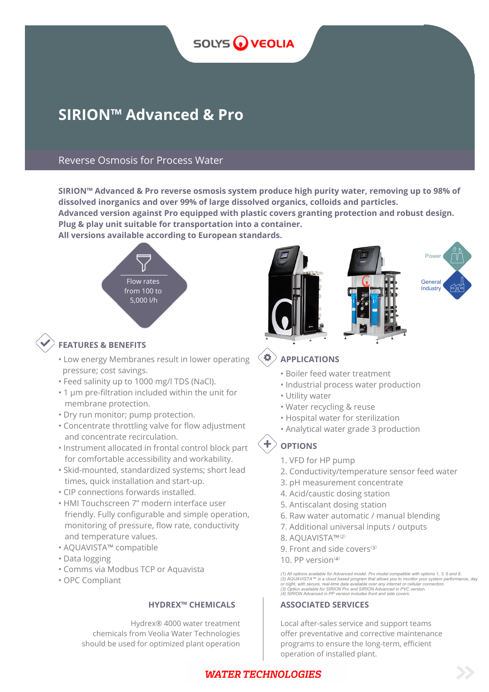

# **SIRION™ Advanced & Pro**

## Reverse Osmosis for Process Water

**SIRION™ Advanced & Pro reverse osmosis system produce high purity water, removing up to 98% of dissolved inorganics and over 99% of large dissolved organics, colloids and particles.**

**Advanced version against Pro equipped with plastic covers granting protection and robust design. Plug & play unit suitable for transportation into a container.**

**All versions available according to European standards.**



## **FEATURES & BENEFITS**

- Low energy Membranes result in lower operating pressure; cost savings.
- Feed salinity up to 1000 mg/l TDS (NaCl).
- 1 μm pre-filtration included within the unit for membrane protection.
- Dry run monitor; pump protection.
- Concentrate throttling valve for flow adjustment and concentrate recirculation.
- Instrument allocated in frontal control block part for comfortable accessibility and workability.
- Skid-mounted, standardized systems; short lead times, quick installation and start-up.
- CIP connections forwards installed.
- HMI Touchscreen 7" modern interface user friendly. Fully configurable and simple operation, monitoring of pressure, flow rate, conductivity and temperature values.
- AQUAVISTA™ compatible
- Data logging
- Comms via Modbus TCP or Aquavista
- OPC Compliant

Hydrex® 4000 water treatment chemicals from Veolia Water Technologies should be used for optimized plant operation



#### $\bullet$ **APPLICATIONS**

- Boiler feed water treatment
- Industrial process water production
- Utility water
- Water recycling & reuse
- Hospital water for sterilization
- Analytical water grade 3 production

## **OPTIONS**

- 1. VFD for HP pump
- 2. Conductivity/temperature sensor feed water
- 3. pH measurement concentrate
- 4. Acid/caustic dosing station
- 5. Antiscalant dosing station
- 6. Raw water automatic / manual blending
- 7. Additional universal inputs / outputs
- 8. AOUAVISTA™<sup>(2)</sup>
- 9. Front and side covers<sup>(3)</sup>
- 10. PP version $(4)$

(1) All options available for Advanced model. Pro model compatible with options 1, 3, 6 and 8.<br>(2) AQUAVISTA™ is a cloud based program that allows you to monitor your system performance, day<br>or night, with secure, real-tim *(4) SIRION Advanced in PP version includes front and side covers.*

### **HYDREX™ CHEMICALS ASSOCIATED SERVICES**

Local after-sales service and support teams offer preventative and corrective maintenance programs to ensure the long-term, efficient operation of installed plant.

## **WATER TECHNOLOGIES**